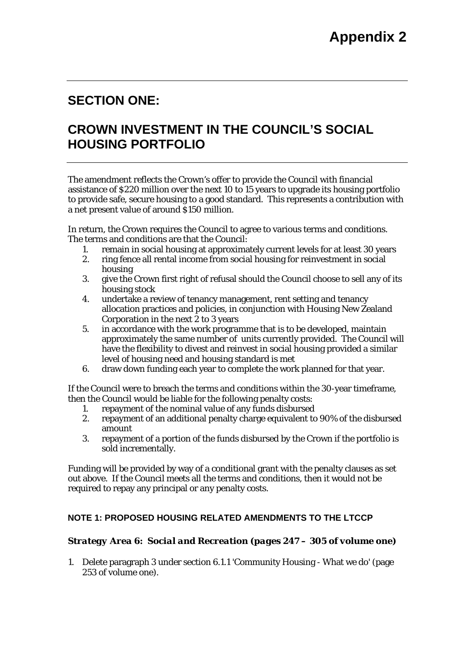## **SECTION ONE:**

# **CROWN INVESTMENT IN THE COUNCIL'S SOCIAL HOUSING PORTFOLIO**

The amendment reflects the Crown's offer to provide the Council with financial assistance of \$220 million over the next 10 to 15 years to upgrade its housing portfolio to provide safe, secure housing to a good standard. This represents a contribution with a net present value of around \$150 million.

In return, the Crown requires the Council to agree to various terms and conditions. The terms and conditions are that the Council:

- 1. remain in social housing at approximately current levels for at least 30 years
- 2. ring fence all rental income from social housing for reinvestment in social housing
- 3. give the Crown first right of refusal should the Council choose to sell any of its housing stock
- 4. undertake a review of tenancy management, rent setting and tenancy allocation practices and policies, in conjunction with Housing New Zealand Corporation in the next 2 to 3 years
- 5. in accordance with the work programme that is to be developed, maintain approximately the same number of units currently provided. The Council will have the flexibility to divest and reinvest in social housing provided a similar level of housing need and housing standard is met
- 6. draw down funding each year to complete the work planned for that year.

If the Council were to breach the terms and conditions within the 30-year timeframe, then the Council would be liable for the following penalty costs:

- 1. repayment of the nominal value of any funds disbursed
- 2. repayment of an additional penalty charge equivalent to 90% of the disbursed amount
- 3. repayment of a portion of the funds disbursed by the Crown if the portfolio is sold incrementally.

Funding will be provided by way of a conditional grant with the penalty clauses as set out above. If the Council meets all the terms and conditions, then it would not be required to repay any principal or any penalty costs.

## **NOTE 1: PROPOSED HOUSING RELATED AMENDMENTS TO THE LTCCP**

### *Strategy Area 6: Social and Recreation (pages 247 – 305 of volume one)*

1. Delete paragraph 3 under section 6.1.1 'Community Housing - What we do' (page 253 of volume one).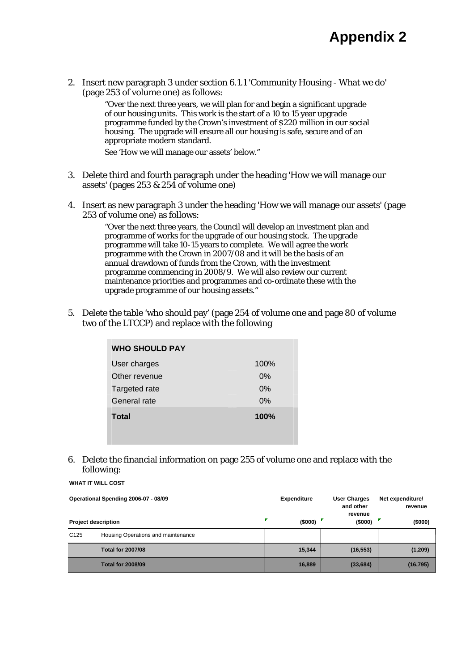2. Insert new paragraph 3 under section 6.1.1 'Community Housing - What we do' (page 253 of volume one) as follows:

> "Over the next three years, we will plan for and begin a significant upgrade of our housing units. This work is the start of a 10 to 15 year upgrade programme funded by the Crown's investment of \$220 million in our social housing. The upgrade will ensure all our housing is safe, secure and of an appropriate modern standard.

See 'How we will manage our assets' below."

- 3. Delete third and fourth paragraph under the heading 'How we will manage our assets' (pages 253 & 254 of volume one)
- 4. Insert as new paragraph 3 under the heading 'How we will manage our assets' (page 253 of volume one) as follows:

"Over the next three years, the Council will develop an investment plan and programme of works for the upgrade of our housing stock. The upgrade programme will take 10-15 years to complete. We will agree the work programme with the Crown in 2007/08 and it will be the basis of an annual drawdown of funds from the Crown, with the investment programme commencing in 2008/9. We will also review our current maintenance priorities and programmes and co-ordinate these with the upgrade programme of our housing assets."

5. Delete the table 'who should pay' (page 254 of volume one and page 80 of volume two of the LTCCP) and replace with the following

| <b>WHO SHOULD PAY</b> |      |
|-----------------------|------|
| User charges          | 100% |
| Other revenue         | 0%   |
| Targeted rate         | 0%   |
| General rate          | 0%   |
| <b>Total</b>          | 100% |

#### 6. Delete the financial information on page 255 of volume one and replace with the following:

|                  | Operational Spending 2006-07 - 08/09 | <b>Expenditure</b> | <b>User Charges</b><br>and other<br>revenue | Net expenditure/<br>revenue<br>(\$000) |  |
|------------------|--------------------------------------|--------------------|---------------------------------------------|----------------------------------------|--|
|                  | <b>Project description</b>           | ×<br>(\$000)       | (\$000)                                     |                                        |  |
| C <sub>125</sub> | Housing Operations and maintenance   |                    |                                             |                                        |  |
|                  | <b>Total for 2007/08</b>             | 15,344             | (16, 553)                                   | (1, 209)                               |  |
|                  | <b>Total for 2008/09</b>             | 16,889             | (33, 684)                                   | (16, 795)                              |  |

**WHAT IT WILL COST**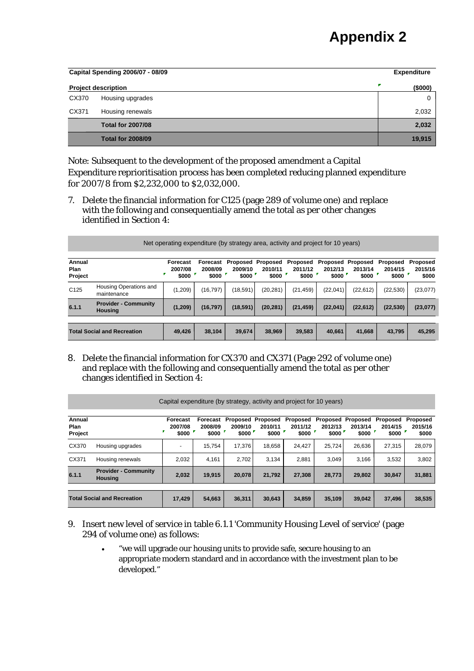# **Appendix 2**

| Capital Spending 2006/07 - 08/09 |                            |                 |  |  |  |
|----------------------------------|----------------------------|-----------------|--|--|--|
|                                  | <b>Project description</b> | F<br>$($ \$000) |  |  |  |
| CX370                            | Housing upgrades           | 0               |  |  |  |
| CX371                            | Housing renewals           | 2,032           |  |  |  |
|                                  | <b>Total for 2007/08</b>   | 2,032           |  |  |  |
|                                  | <b>Total for 2008/09</b>   | 19,915          |  |  |  |

Note: Subsequent to the development of the proposed amendment a Capital Expenditure reprioritisation process has been completed reducing planned expenditure for 2007/8 from \$2,232,000 to \$2,032,000.

7. Delete the financial information for C125 (page 289 of volume one) and replace with the following and consequentially amend the total as per other changes identified in Section 4:

|                           | Net operating expenditure (by strategy area, activity and project for 10 years) |                              |                              |                  |                                       |                              |                              |                              |                              |                              |
|---------------------------|---------------------------------------------------------------------------------|------------------------------|------------------------------|------------------|---------------------------------------|------------------------------|------------------------------|------------------------------|------------------------------|------------------------------|
| Annual<br>Plan<br>Project |                                                                                 | Forecast<br>2007/08<br>\$000 | Forecast<br>2008/09<br>\$000 | 2009/10<br>\$000 | Proposed Proposed<br>2010/11<br>\$000 | Proposed<br>2011/12<br>\$000 | Proposed<br>2012/13<br>\$000 | Proposed<br>2013/14<br>\$000 | Proposed<br>2014/15<br>\$000 | Proposed<br>2015/16<br>\$000 |
| C <sub>125</sub>          | Housing Operations and<br>maintenance                                           | (1,209)                      | (16, 797)                    | (18, 591)        | (20, 281)                             | (21, 459)                    | (22,041)                     | (22, 612)                    | (22, 530)                    | (23,077)                     |
| 6.1.1                     | <b>Provider - Community</b><br><b>Housing</b>                                   | (1,209)                      | (16, 797)                    | (18, 591)        | (20, 281)                             | (21, 459)                    | (22,041)                     | (22, 612)                    | (22, 530)                    | (23, 077)                    |
|                           |                                                                                 |                              |                              |                  |                                       |                              |                              |                              |                              |                              |
|                           | <b>Total Social and Recreation</b>                                              | 49,426                       | 38.104                       | 39,674           | 38,969                                | 39.583                       | 40.661                       | 41.668                       | 43.795                       | 45,295                       |

8. Delete the financial information for CX370 and CX371 (Page 292 of volume one) and replace with the following and consequentially amend the total as per other changes identified in Section 4:

|                                    | Capital expenditure (by strategy, activity and project for 10 years) |                              |                              |                  |                                              |                              |                              |                              |                              |                              |
|------------------------------------|----------------------------------------------------------------------|------------------------------|------------------------------|------------------|----------------------------------------------|------------------------------|------------------------------|------------------------------|------------------------------|------------------------------|
| Annual<br>Plan<br>Project          |                                                                      | Forecast<br>2007/08<br>\$000 | Forecast<br>2008/09<br>\$000 | 2009/10<br>\$000 | <b>Proposed Proposed</b><br>2010/11<br>\$000 | Proposed<br>2011/12<br>\$000 | Proposed<br>2012/13<br>\$000 | Proposed<br>2013/14<br>\$000 | Proposed<br>2014/15<br>\$000 | Proposed<br>2015/16<br>\$000 |
| CX370                              | Housing upgrades                                                     |                              | 15.754                       | 17.376           | 18.658                                       | 24.427                       | 25.724                       | 26,636                       | 27,315                       | 28,079                       |
| CX371                              | Housing renewals                                                     | 2.032                        | 4,161                        | 2,702            | 3.134                                        | 2,881                        | 3.049                        | 3.166                        | 3,532                        | 3,802                        |
| 6.1.1                              | <b>Provider - Community</b><br><b>Housing</b>                        | 2,032                        | 19.915                       | 20.078           | 21.792                                       | 27.308                       | 28.773                       | 29.802                       | 30,847                       | 31,881                       |
|                                    |                                                                      |                              |                              |                  |                                              |                              |                              |                              |                              |                              |
| <b>Total Social and Recreation</b> |                                                                      | 17,429                       | 54.663                       | 36,311           | 30,643                                       | 34,859                       | 35.109                       | 39.042                       | 37,496                       | 38,535                       |

- 
- 9. Insert new level of service in table 6.1.1 'Community Housing Level of service' (page 294 of volume one) as follows:
	- "we will upgrade our housing units to provide safe, secure housing to an appropriate modern standard and in accordance with the investment plan to be developed."